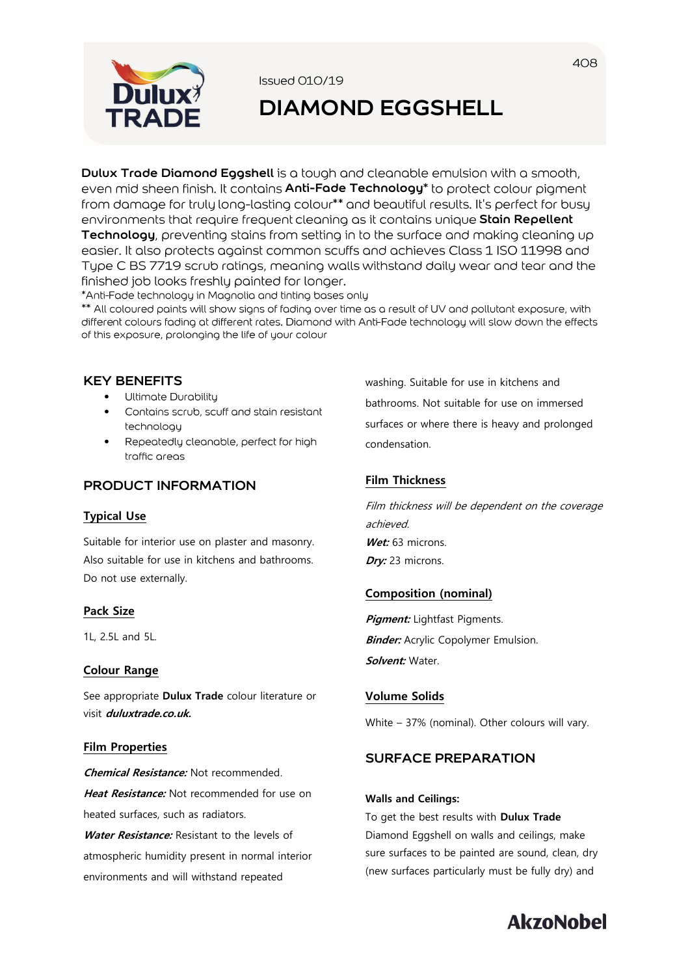

Issued 010/19

# **DIAMOND EGGSHELL**

**Dulux Trade Diamond Eggshell** is a tough and cleanable emulsion with a smooth, even mid sheen finish. It contains **Anti-Fade Technology**<sup>\*</sup> to protect colour pigment from damage for truly long-lasting colour\*\* and beautiful results. It's perfect for busy environments that require frequent cleaning as it contains unique Stain Repellent **Technology**, preventing stains from setting in to the surface and making cleaning up easier. It also protects against common scuffs and achieves Class 1 ISO 11998 and Type C BS 7719 scrub ratings, meaning walls withstand daily wear and tear and the finished job looks freshly painted for longer.

\*Anti-Fade technology in Magnolia and tinting bases only

\*\* All coloured paints will show signs of fading over time as a result of UV and pollutant exposure, with different colours fading at different rates. Diamond with Anti-Fade technology will slow down the effects of this exposure, prolonging the life of your colour

# **KEY BENEFITS**

- Ultimate Durability
- Contains scrub, scuff and stain resistant • technologu
- Repeatedly cleanable, perfect for high traffic areas

# **PRODUCT INFORMATION**

### **Typical Use**

Suitable for interior use on plaster and masonry. Also suitable for use in kitchens and bathrooms. Do not use externally.

### **Pack Size**

1L, 2.5L and 5L.

### **Colour Range**

See appropriate **Dulux Trade** colour literature or visit **duluxtrade.co.uk.**

### **Film Properties**

**Chemical Resistance:** Not recommended. **Heat Resistance:** Not recommended for use on heated surfaces, such as radiators.

**Water Resistance:** Resistant to the levels of atmospheric humidity present in normal interior environments and will withstand repeated

washing. Suitable for use in kitchens and bathrooms. Not suitable for use on immersed surfaces or where there is heavy and prolonged condensation.

# **Film Thickness**

Film thickness will be dependent on the coverage achieved. Wet: 63 microns. **Dry:** 23 microns.

# **Composition (nominal)**

**Pigment:** Lightfast Pigments. **Binder:** Acrylic Copolymer Emulsion. **Solvent:** Water.

# **Volume Solids**

White – 37% (nominal). Other colours will vary.

# **SURFACE PREPARATION**

#### **Walls and Ceilings:**

To get the best results with **Dulux Trade** Diamond Eggshell on walls and ceilings, make sure surfaces to be painted are sound, clean, dry (new surfaces particularly must be fully dry) and

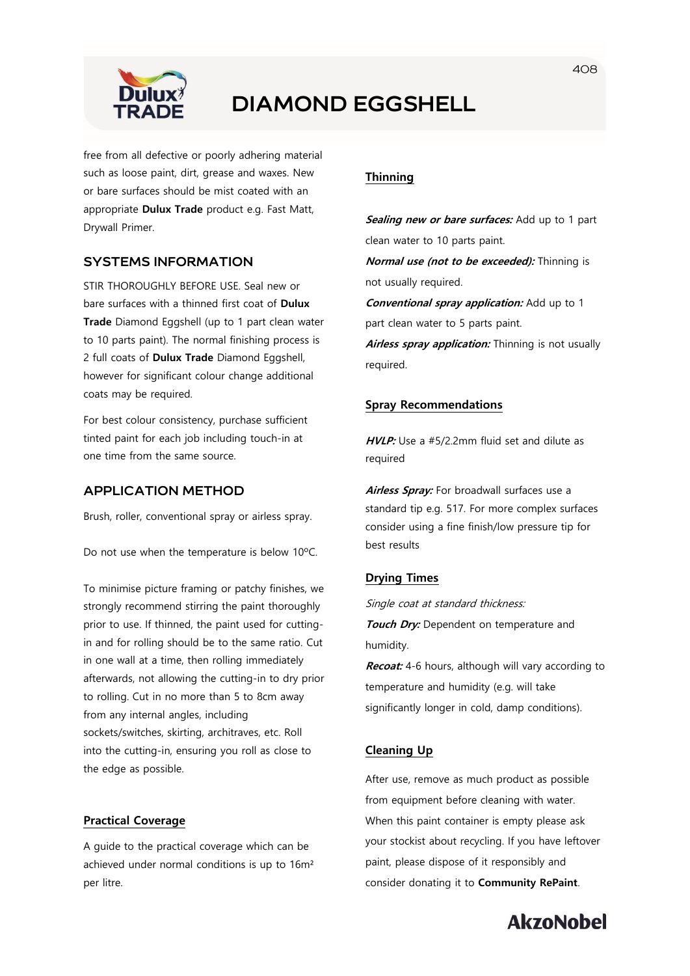

# **DIAMOND EGGSHELL**

free from all defective or poorly adhering material such as loose paint, dirt, grease and waxes. New or bare surfaces should be mist coated with an appropriate **Dulux Trade** product e.g. Fast Matt, Drywall Primer.

## **SYSTEMS INFORMATION**

STIR THOROUGHLY BEFORE USE. Seal new or bare surfaces with a thinned first coat of **Dulux Trade** Diamond Eggshell (up to 1 part clean water to 10 parts paint). The normal finishing process is 2 full coats of **Dulux Trade** Diamond Eggshell, however for significant colour change additional coats may be required.

For best colour consistency, purchase sufficient tinted paint for each job including touch-in at one time from the same source.

# **APPLICATION METHOD**

Brush, roller, conventional spray or airless spray.

Do not use when the temperature is below 10ºC.

To minimise picture framing or patchy finishes, we strongly recommend stirring the paint thoroughly prior to use. If thinned, the paint used for cuttingin and for rolling should be to the same ratio. Cut in one wall at a time, then rolling immediately afterwards, not allowing the cutting-in to dry prior to rolling. Cut in no more than 5 to 8cm away from any internal angles, including sockets/switches, skirting, architraves, etc. Roll into the cutting-in, ensuring you roll as close to the edge as possible.

#### **Practical Coverage**

A guide to the practical coverage which can be achieved under normal conditions is up to 16m² per litre.

## **Thinning**

**Sealing new or bare surfaces:** Add up to 1 part clean water to 10 parts paint. **Normal use (not to be exceeded):** Thinning is not usually required. **Conventional spray application:** Add up to 1 part clean water to 5 parts paint. **Airless spray application:** Thinning is not usually required.

#### **Spray Recommendations**

**HVLP:** Use a #5/2.2mm fluid set and dilute as required

**Airless Spray:** For broadwall surfaces use a standard tip e.g. 517. For more complex surfaces consider using a fine finish/low pressure tip for best results

#### **Drying Times**

Single coat at standard thickness: **Touch Dry:** Dependent on temperature and humidity.

**Recoat:** 4-6 hours, although will vary according to temperature and humidity (e.g. will take significantly longer in cold, damp conditions).

### **Cleaning Up**

After use, remove as much product as possible from equipment before cleaning with water. When this paint container is empty please ask your stockist about recycling. If you have leftover paint, please dispose of it responsibly and consider donating it to **Community RePaint**.